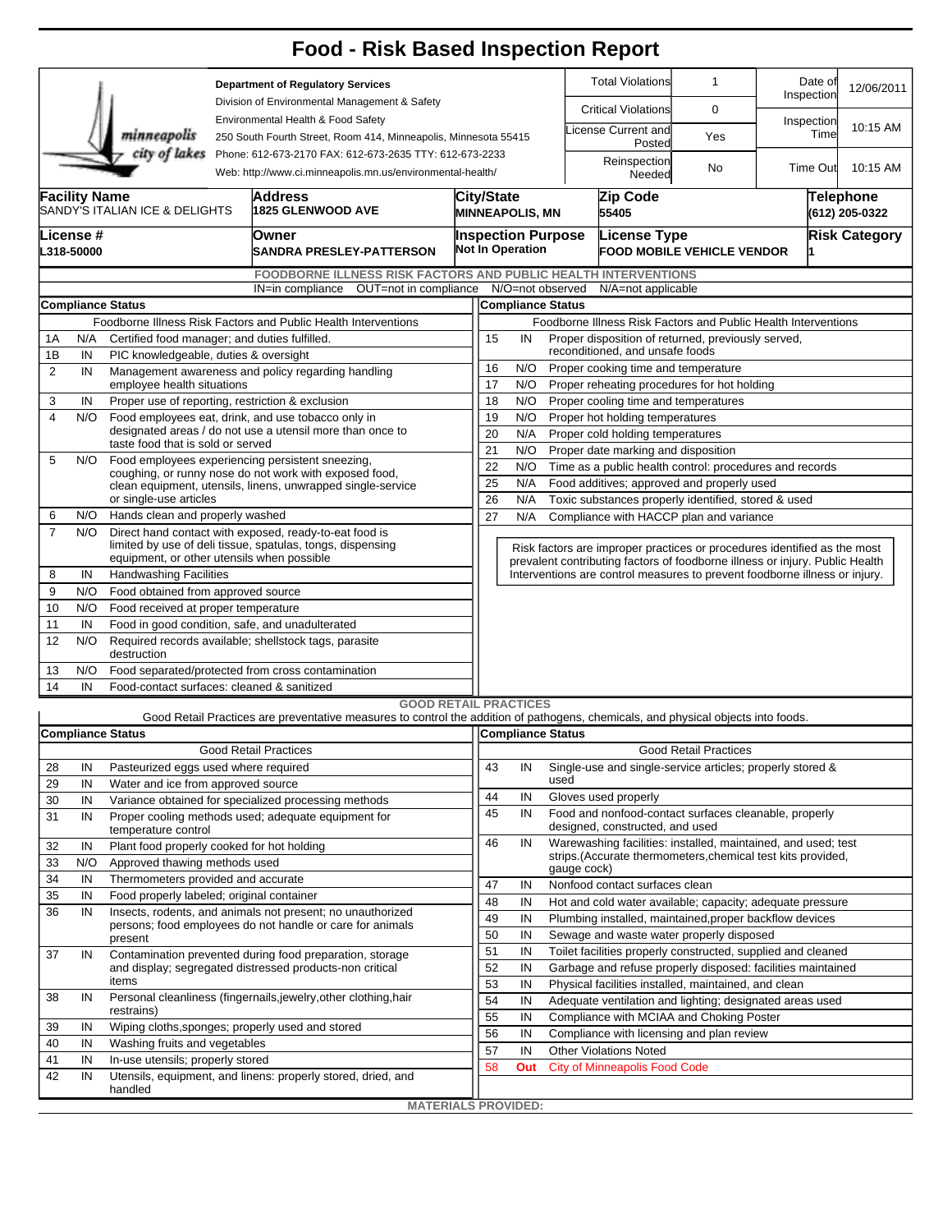|                                                                |                                                                                                           |                                                                                                                      |                                                                                                                       | <b>Food - Risk Based Inspection Report</b>                                                                                        |                            |                                                                |                                                                                                                                                            |                        |                                                         |                                                           |                                                                          |                             |  |  |  |
|----------------------------------------------------------------|-----------------------------------------------------------------------------------------------------------|----------------------------------------------------------------------------------------------------------------------|-----------------------------------------------------------------------------------------------------------------------|-----------------------------------------------------------------------------------------------------------------------------------|----------------------------|----------------------------------------------------------------|------------------------------------------------------------------------------------------------------------------------------------------------------------|------------------------|---------------------------------------------------------|-----------------------------------------------------------|--------------------------------------------------------------------------|-----------------------------|--|--|--|
|                                                                |                                                                                                           |                                                                                                                      | <b>Department of Regulatory Services</b><br>Division of Environmental Management & Safety                             |                                                                                                                                   |                            |                                                                |                                                                                                                                                            |                        | <b>Total Violations</b>                                 | 1                                                         | Date of<br>Inspection                                                    | 12/06/2011                  |  |  |  |
|                                                                |                                                                                                           |                                                                                                                      |                                                                                                                       | Environmental Health & Food Safety                                                                                                |                            |                                                                |                                                                                                                                                            |                        | <b>Critical Violations</b>                              | 0                                                         |                                                                          |                             |  |  |  |
|                                                                |                                                                                                           | minneapolis                                                                                                          |                                                                                                                       | 250 South Fourth Street, Room 414, Minneapolis, Minnesota 55415                                                                   |                            |                                                                |                                                                                                                                                            |                        | icense Current and<br>Posted                            | Yes                                                       | Inspection<br>Time                                                       | 10:15 AM                    |  |  |  |
|                                                                |                                                                                                           | city of lakes                                                                                                        | Phone: 612-673-2170 FAX: 612-673-2635 TTY: 612-673-2233<br>Web: http://www.ci.minneapolis.mn.us/environmental-health/ |                                                                                                                                   |                            |                                                                |                                                                                                                                                            | Reinspection<br>Needed | No                                                      | Time Out                                                  | 10:15 AM                                                                 |                             |  |  |  |
|                                                                | <b>Facility Name</b>                                                                                      | SANDY'S ITALIAN ICE & DELIGHTS                                                                                       |                                                                                                                       | <b>Address</b><br>1825 GLENWOOD AVE                                                                                               |                            | City/State<br><b>MINNEAPOLIS, MN</b>                           |                                                                                                                                                            |                        | Zip Code<br>55405                                       |                                                           |                                                                          | Telephone<br>(612) 205-0322 |  |  |  |
|                                                                | License #<br>L318-50000                                                                                   |                                                                                                                      |                                                                                                                       | Owner<br>SANDRA PRESLEY-PATTERSON                                                                                                 |                            | <b>Inspection Purpose</b><br><b>Not In Operation</b>           |                                                                                                                                                            |                        | <b>License Type</b>                                     | <b>Risk Category</b><br><b>FOOD MOBILE VEHICLE VENDOR</b> |                                                                          |                             |  |  |  |
|                                                                |                                                                                                           |                                                                                                                      |                                                                                                                       | <b>FOODBORNE ILLNESS RISK FACTORS AND PUBLIC HEALTH INTERVENTIONS</b>                                                             |                            |                                                                |                                                                                                                                                            |                        |                                                         |                                                           |                                                                          |                             |  |  |  |
|                                                                |                                                                                                           |                                                                                                                      |                                                                                                                       | IN=in compliance OUT=not in compliance N/O=not observed                                                                           |                            |                                                                |                                                                                                                                                            |                        | N/A=not applicable                                      |                                                           |                                                                          |                             |  |  |  |
|                                                                |                                                                                                           | <b>Compliance Status</b>                                                                                             |                                                                                                                       |                                                                                                                                   |                            | <b>Compliance Status</b>                                       |                                                                                                                                                            |                        |                                                         |                                                           |                                                                          |                             |  |  |  |
| Foodborne Illness Risk Factors and Public Health Interventions |                                                                                                           |                                                                                                                      |                                                                                                                       |                                                                                                                                   |                            |                                                                | Foodborne Illness Risk Factors and Public Health Interventions                                                                                             |                        |                                                         |                                                           |                                                                          |                             |  |  |  |
| 1B                                                             | Certified food manager; and duties fulfilled.<br>1Α<br>N/A<br>PIC knowledgeable, duties & oversight<br>IN |                                                                                                                      |                                                                                                                       |                                                                                                                                   |                            |                                                                | 15<br>Proper disposition of returned, previously served,<br>IN<br>reconditioned, and unsafe foods                                                          |                        |                                                         |                                                           |                                                                          |                             |  |  |  |
| 2                                                              | IN                                                                                                        |                                                                                                                      |                                                                                                                       | Management awareness and policy regarding handling                                                                                | 16                         | N/O<br>Proper cooking time and temperature                     |                                                                                                                                                            |                        |                                                         |                                                           |                                                                          |                             |  |  |  |
|                                                                |                                                                                                           | employee health situations                                                                                           | 17                                                                                                                    | N/O<br>Proper reheating procedures for hot holding                                                                                |                            |                                                                |                                                                                                                                                            |                        |                                                         |                                                           |                                                                          |                             |  |  |  |
| 3                                                              | Proper use of reporting, restriction & exclusion<br>IN                                                    |                                                                                                                      |                                                                                                                       |                                                                                                                                   |                            |                                                                | 18<br>N/O<br>Proper cooling time and temperatures                                                                                                          |                        |                                                         |                                                           |                                                                          |                             |  |  |  |
| 4                                                              | N/O                                                                                                       | Food employees eat, drink, and use tobacco only in<br>designated areas / do not use a utensil more than once to      |                                                                                                                       |                                                                                                                                   |                            |                                                                | 19<br>N/O<br>Proper hot holding temperatures                                                                                                               |                        |                                                         |                                                           |                                                                          |                             |  |  |  |
|                                                                |                                                                                                           | taste food that is sold or served                                                                                    |                                                                                                                       | 20<br>N/A<br>Proper cold holding temperatures                                                                                     |                            |                                                                |                                                                                                                                                            |                        |                                                         |                                                           |                                                                          |                             |  |  |  |
| 5                                                              | N/O                                                                                                       | Food employees experiencing persistent sneezing,                                                                     |                                                                                                                       |                                                                                                                                   |                            |                                                                | 21<br>N/O<br>Proper date marking and disposition                                                                                                           |                        |                                                         |                                                           |                                                                          |                             |  |  |  |
|                                                                |                                                                                                           | coughing, or runny nose do not work with exposed food,                                                               | 25                                                                                                                    | 22<br>N/O<br>Time as a public health control: procedures and records<br>N/A<br>Food additives; approved and properly used         |                            |                                                                |                                                                                                                                                            |                        |                                                         |                                                           |                                                                          |                             |  |  |  |
|                                                                |                                                                                                           | clean equipment, utensils, linens, unwrapped single-service<br>or single-use articles                                |                                                                                                                       | 26<br>N/A<br>Toxic substances properly identified, stored & used                                                                  |                            |                                                                |                                                                                                                                                            |                        |                                                         |                                                           |                                                                          |                             |  |  |  |
| 6                                                              | N/O                                                                                                       | Hands clean and properly washed                                                                                      |                                                                                                                       |                                                                                                                                   | 27                         | N/A                                                            | Compliance with HACCP plan and variance                                                                                                                    |                        |                                                         |                                                           |                                                                          |                             |  |  |  |
| 7                                                              | N/O                                                                                                       | Direct hand contact with exposed, ready-to-eat food is<br>limited by use of deli tissue, spatulas, tongs, dispensing |                                                                                                                       |                                                                                                                                   |                            |                                                                |                                                                                                                                                            |                        |                                                         |                                                           | Risk factors are improper practices or procedures identified as the most |                             |  |  |  |
|                                                                |                                                                                                           | equipment, or other utensils when possible                                                                           |                                                                                                                       |                                                                                                                                   |                            |                                                                | prevalent contributing factors of foodborne illness or injury. Public Health<br>Interventions are control measures to prevent foodborne illness or injury. |                        |                                                         |                                                           |                                                                          |                             |  |  |  |
| 8                                                              | IN                                                                                                        | <b>Handwashing Facilities</b>                                                                                        |                                                                                                                       |                                                                                                                                   |                            |                                                                |                                                                                                                                                            |                        |                                                         |                                                           |                                                                          |                             |  |  |  |
| 9                                                              | N/O                                                                                                       | Food obtained from approved source                                                                                   |                                                                                                                       |                                                                                                                                   |                            |                                                                |                                                                                                                                                            |                        |                                                         |                                                           |                                                                          |                             |  |  |  |
| 10<br>11                                                       | N/O<br>IN                                                                                                 | Food received at proper temperature<br>Food in good condition, safe, and unadulterated                               |                                                                                                                       |                                                                                                                                   |                            |                                                                |                                                                                                                                                            |                        |                                                         |                                                           |                                                                          |                             |  |  |  |
| 12                                                             | N/O                                                                                                       | Required records available; shellstock tags, parasite<br>destruction                                                 |                                                                                                                       |                                                                                                                                   |                            |                                                                |                                                                                                                                                            |                        |                                                         |                                                           |                                                                          |                             |  |  |  |
| 13                                                             | N/O                                                                                                       | Food separated/protected from cross contamination                                                                    |                                                                                                                       |                                                                                                                                   |                            |                                                                |                                                                                                                                                            |                        |                                                         |                                                           |                                                                          |                             |  |  |  |
| 14                                                             | Food-contact surfaces: cleaned & sanitized<br>IN                                                          |                                                                                                                      |                                                                                                                       |                                                                                                                                   |                            |                                                                |                                                                                                                                                            |                        |                                                         |                                                           |                                                                          |                             |  |  |  |
|                                                                |                                                                                                           |                                                                                                                      |                                                                                                                       | <b>GOOD RETAIL PRACTICES</b>                                                                                                      |                            |                                                                |                                                                                                                                                            |                        |                                                         |                                                           |                                                                          |                             |  |  |  |
|                                                                |                                                                                                           |                                                                                                                      |                                                                                                                       | Good Retail Practices are preventative measures to control the addition of pathogens, chemicals, and physical objects into foods. |                            |                                                                |                                                                                                                                                            |                        |                                                         |                                                           |                                                                          |                             |  |  |  |
|                                                                |                                                                                                           | <b>Compliance Status</b>                                                                                             |                                                                                                                       |                                                                                                                                   |                            |                                                                |                                                                                                                                                            | Compliance Status      |                                                         |                                                           |                                                                          |                             |  |  |  |
|                                                                | IN                                                                                                        | Pasteurized eggs used where required                                                                                 |                                                                                                                       | <b>Good Retail Practices</b>                                                                                                      | 43                         | IN                                                             |                                                                                                                                                            |                        |                                                         | <b>Good Retail Practices</b>                              | Single-use and single-service articles; properly stored &                |                             |  |  |  |
| 28<br>29                                                       | IN                                                                                                        | Water and ice from approved source                                                                                   |                                                                                                                       |                                                                                                                                   |                            |                                                                | used                                                                                                                                                       |                        |                                                         |                                                           |                                                                          |                             |  |  |  |
| 30                                                             | IN                                                                                                        |                                                                                                                      |                                                                                                                       | Variance obtained for specialized processing methods                                                                              | 44                         | IN                                                             |                                                                                                                                                            |                        | Gloves used properly                                    |                                                           |                                                                          |                             |  |  |  |
| 31                                                             | IN                                                                                                        | temperature control                                                                                                  |                                                                                                                       | Proper cooling methods used; adequate equipment for                                                                               | 45                         | IN                                                             | Food and nonfood-contact surfaces cleanable, properly<br>designed, constructed, and used                                                                   |                        |                                                         |                                                           |                                                                          |                             |  |  |  |
| 32                                                             | IN                                                                                                        | Plant food properly cooked for hot holding                                                                           |                                                                                                                       |                                                                                                                                   | 46                         | IN                                                             |                                                                                                                                                            |                        |                                                         |                                                           | Warewashing facilities: installed, maintained, and used; test            |                             |  |  |  |
| 33                                                             | N/O                                                                                                       | Approved thawing methods used                                                                                        |                                                                                                                       |                                                                                                                                   |                            |                                                                |                                                                                                                                                            | gauge cock)            |                                                         |                                                           | strips. (Accurate thermometers, chemical test kits provided,             |                             |  |  |  |
| 34                                                             | IN                                                                                                        | Thermometers provided and accurate                                                                                   |                                                                                                                       |                                                                                                                                   |                            |                                                                |                                                                                                                                                            |                        |                                                         |                                                           |                                                                          |                             |  |  |  |
| 35                                                             | IN                                                                                                        | Food properly labeled; original container                                                                            |                                                                                                                       |                                                                                                                                   |                            | IN<br>IN                                                       | Nonfood contact surfaces clean<br>Hot and cold water available; capacity; adequate pressure                                                                |                        |                                                         |                                                           |                                                                          |                             |  |  |  |
| 36                                                             | IN                                                                                                        | Insects, rodents, and animals not present; no unauthorized                                                           | 48<br>49                                                                                                              | IN                                                                                                                                |                            |                                                                |                                                                                                                                                            |                        | Plumbing installed, maintained, proper backflow devices |                                                           |                                                                          |                             |  |  |  |
|                                                                |                                                                                                           |                                                                                                                      |                                                                                                                       | persons; food employees do not handle or care for animals                                                                         | 50                         | IN                                                             |                                                                                                                                                            |                        |                                                         | Sewage and waste water properly disposed                  |                                                                          |                             |  |  |  |
| 37                                                             | IN                                                                                                        |                                                                                                                      | present<br>Contamination prevented during food preparation, storage                                                   |                                                                                                                                   |                            |                                                                |                                                                                                                                                            |                        |                                                         |                                                           | Toilet facilities properly constructed, supplied and cleaned             |                             |  |  |  |
|                                                                |                                                                                                           |                                                                                                                      |                                                                                                                       | and display; segregated distressed products-non critical                                                                          | 52                         | IN                                                             |                                                                                                                                                            |                        |                                                         |                                                           | Garbage and refuse properly disposed: facilities maintained              |                             |  |  |  |
|                                                                |                                                                                                           | items                                                                                                                |                                                                                                                       |                                                                                                                                   |                            | IN                                                             |                                                                                                                                                            |                        |                                                         | Physical facilities installed, maintained, and clean      |                                                                          |                             |  |  |  |
| 38                                                             | IN                                                                                                        |                                                                                                                      |                                                                                                                       | Personal cleanliness (fingernails,jewelry,other clothing,hair                                                                     | 54                         | IN<br>Adequate ventilation and lighting; designated areas used |                                                                                                                                                            |                        |                                                         |                                                           |                                                                          |                             |  |  |  |
| 39                                                             | IN                                                                                                        | restrains)                                                                                                           |                                                                                                                       |                                                                                                                                   | 55<br>56                   | IN                                                             |                                                                                                                                                            |                        |                                                         | Compliance with MCIAA and Choking Poster                  |                                                                          |                             |  |  |  |
| 40                                                             | IN                                                                                                        | Wiping cloths, sponges; properly used and stored<br>Washing fruits and vegetables                                    |                                                                                                                       |                                                                                                                                   |                            |                                                                | IN<br>Compliance with licensing and plan review                                                                                                            |                        |                                                         |                                                           |                                                                          |                             |  |  |  |
| 41                                                             | IN                                                                                                        | In-use utensils; properly stored                                                                                     |                                                                                                                       |                                                                                                                                   |                            |                                                                |                                                                                                                                                            |                        | <b>Other Violations Noted</b>                           |                                                           |                                                                          |                             |  |  |  |
| 42                                                             | IN                                                                                                        |                                                                                                                      |                                                                                                                       | Utensils, equipment, and linens: properly stored, dried, and                                                                      | 58                         | Out                                                            |                                                                                                                                                            |                        | <b>City of Minneapolis Food Code</b>                    |                                                           |                                                                          |                             |  |  |  |
|                                                                |                                                                                                           | handled                                                                                                              |                                                                                                                       |                                                                                                                                   | <b>MATERIALS PROVIDED:</b> |                                                                |                                                                                                                                                            |                        |                                                         |                                                           |                                                                          |                             |  |  |  |